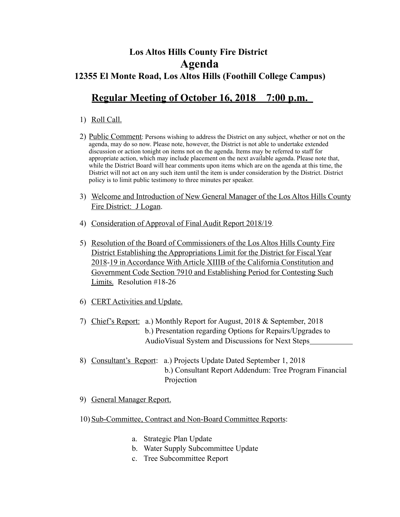## **Los Altos Hills County Fire District Agenda 12355 El Monte Road, Los Altos Hills (Foothill College Campus)**

## **Regular Meeting of October 16, 2018 7:00 p.m.**

## 1) Roll Call.

- 2) Public Comment: Persons wishing to address the District on any subject, whether or not on the agenda, may do so now. Please note, however, the District is not able to undertake extended discussion or action tonight on items not on the agenda. Items may be referred to staff for appropriate action, which may include placement on the next available agenda. Please note that, while the District Board will hear comments upon items which are on the agenda at this time, the District will not act on any such item until the item is under consideration by the District. District policy is to limit public testimony to three minutes per speaker.
- 3) Welcome and Introduction of New General Manager of the Los Altos Hills County Fire District: J Logan.
- 4) Consideration of Approval of Final Audit Report 2018/19.
- 5) Resolution of the Board of Commissioners of the Los Altos Hills County Fire District Establishing the Appropriations Limit for the District for Fiscal Year 2018-19 in Accordance With Article XIIIB of the California Constitution and Government Code Section 7910 and Establishing Period for Contesting Such Limits. Resolution #18-26
- 6) CERT Activities and Update.
- 7) Chief's Report: a.) Monthly Report for August, 2018 & September, 2018 b.) Presentation regarding Options for Repairs/Upgrades to AudioVisual System and Discussions for Next Steps
- 8) Consultant's Report: a.) Projects Update Dated September 1, 2018 b.) Consultant Report Addendum: Tree Program Financial Projection
- 9) General Manager Report.
- 10) Sub-Committee, Contract and Non-Board Committee Reports:
	- a. Strategic Plan Update
	- b. Water Supply Subcommittee Update
	- c. Tree Subcommittee Report